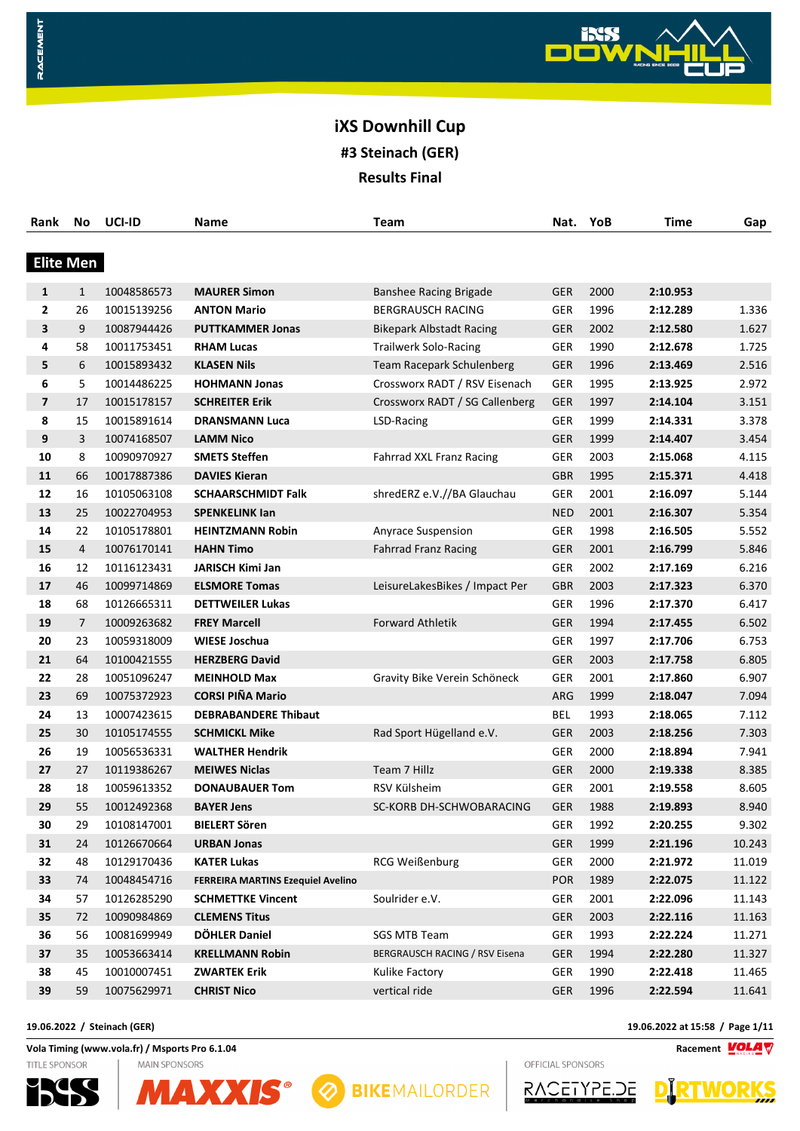

| Rank             | No             | UCI-ID      | Name                                     | <b>Team</b>                     | Nat.       | YoB  | <b>Time</b> | Gap    |
|------------------|----------------|-------------|------------------------------------------|---------------------------------|------------|------|-------------|--------|
| <b>Elite Men</b> |                |             |                                          |                                 |            |      |             |        |
|                  |                |             |                                          |                                 |            |      |             |        |
| 1                | $\mathbf{1}$   | 10048586573 | <b>MAURER Simon</b>                      | <b>Banshee Racing Brigade</b>   | <b>GER</b> | 2000 | 2:10.953    |        |
| 2                | 26             | 10015139256 | <b>ANTON Mario</b>                       | <b>BERGRAUSCH RACING</b>        | <b>GER</b> | 1996 | 2:12.289    | 1.336  |
| 3                | 9              | 10087944426 | <b>PUTTKAMMER Jonas</b>                  | <b>Bikepark Albstadt Racing</b> | <b>GER</b> | 2002 | 2:12.580    | 1.627  |
| 4                | 58             | 10011753451 | <b>RHAM Lucas</b>                        | <b>Trailwerk Solo-Racing</b>    | <b>GER</b> | 1990 | 2:12.678    | 1.725  |
| 5                | 6              | 10015893432 | <b>KLASEN Nils</b>                       | Team Racepark Schulenberg       | <b>GER</b> | 1996 | 2:13.469    | 2.516  |
| 6                | 5              | 10014486225 | <b>HOHMANN Jonas</b>                     | Crossworx RADT / RSV Eisenach   | GER        | 1995 | 2:13.925    | 2.972  |
| 7                | 17             | 10015178157 | <b>SCHREITER Erik</b>                    | Crossworx RADT / SG Callenberg  | <b>GER</b> | 1997 | 2:14.104    | 3.151  |
| 8                | 15             | 10015891614 | <b>DRANSMANN Luca</b>                    | LSD-Racing                      | <b>GER</b> | 1999 | 2:14.331    | 3.378  |
| 9                | 3              | 10074168507 | <b>LAMM Nico</b>                         |                                 | <b>GER</b> | 1999 | 2:14.407    | 3.454  |
| 10               | 8              | 10090970927 | <b>SMETS Steffen</b>                     | Fahrrad XXL Franz Racing        | GER        | 2003 | 2:15.068    | 4.115  |
| 11               | 66             | 10017887386 | <b>DAVIES Kieran</b>                     |                                 | <b>GBR</b> | 1995 | 2:15.371    | 4.418  |
| 12               | 16             | 10105063108 | <b>SCHAARSCHMIDT Falk</b>                | shredERZ e.V.//BA Glauchau      | GER        | 2001 | 2:16.097    | 5.144  |
| 13               | 25             | 10022704953 | <b>SPENKELINK lan</b>                    |                                 | <b>NED</b> | 2001 | 2:16.307    | 5.354  |
| 14               | 22             | 10105178801 | <b>HEINTZMANN Robin</b>                  | Anyrace Suspension              | GER        | 1998 | 2:16.505    | 5.552  |
| 15               | 4              | 10076170141 | <b>HAHN Timo</b>                         | <b>Fahrrad Franz Racing</b>     | <b>GER</b> | 2001 | 2:16.799    | 5.846  |
| 16               | 12             | 10116123431 | <b>JARISCH Kimi Jan</b>                  |                                 | <b>GER</b> | 2002 | 2:17.169    | 6.216  |
| 17               | 46             | 10099714869 | <b>ELSMORE Tomas</b>                     | LeisureLakesBikes / Impact Per  | <b>GBR</b> | 2003 | 2:17.323    | 6.370  |
| 18               | 68             | 10126665311 | <b>DETTWEILER Lukas</b>                  |                                 | <b>GER</b> | 1996 | 2:17.370    | 6.417  |
| 19               | $\overline{7}$ | 10009263682 | <b>FREY Marcell</b>                      | <b>Forward Athletik</b>         | <b>GER</b> | 1994 | 2:17.455    | 6.502  |
| 20               | 23             | 10059318009 | <b>WIESE Joschua</b>                     |                                 | GER        | 1997 | 2:17.706    | 6.753  |
| 21               | 64             | 10100421555 | <b>HERZBERG David</b>                    |                                 | <b>GER</b> | 2003 | 2:17.758    | 6.805  |
| 22               | 28             | 10051096247 | <b>MEINHOLD Max</b>                      | Gravity Bike Verein Schöneck    | GER        | 2001 | 2:17.860    | 6.907  |
| 23               | 69             | 10075372923 | <b>CORSI PIÑA Mario</b>                  |                                 | ARG        | 1999 | 2:18.047    | 7.094  |
| 24               | 13             | 10007423615 | <b>DEBRABANDERE Thibaut</b>              |                                 | <b>BEL</b> | 1993 | 2:18.065    | 7.112  |
| 25               | 30             | 10105174555 | <b>SCHMICKL Mike</b>                     | Rad Sport Hügelland e.V.        | <b>GER</b> | 2003 | 2:18.256    | 7.303  |
| 26               | 19             | 10056536331 | <b>WALTHER Hendrik</b>                   |                                 | GER        | 2000 | 2:18.894    | 7.941  |
| 27               | 27             | 10119386267 | <b>MEIWES Niclas</b>                     | Team 7 Hillz                    | <b>GER</b> | 2000 | 2:19.338    | 8.385  |
| 28               | 18             | 10059613352 | <b>DONAUBAUER Tom</b>                    | RSV Külsheim                    | GER        | 2001 | 2:19.558    | 8.605  |
| 29               | 55             | 10012492368 | <b>BAYER Jens</b>                        | SC-KORB DH-SCHWOBARACING        | <b>GER</b> | 1988 | 2:19.893    | 8.940  |
| 30               | 29             | 10108147001 | <b>BIELERT Sören</b>                     |                                 | <b>GER</b> | 1992 | 2:20.255    | 9.302  |
| 31               | 24             | 10126670664 | <b>URBAN Jonas</b>                       |                                 | <b>GER</b> | 1999 | 2:21.196    | 10.243 |
| 32               | 48             | 10129170436 | <b>KATER Lukas</b>                       | RCG Weißenburg                  | GER        | 2000 | 2:21.972    | 11.019 |
| 33               | 74             | 10048454716 | <b>FERREIRA MARTINS Ezequiel Avelino</b> |                                 | <b>POR</b> | 1989 | 2:22.075    | 11.122 |
| 34               | 57             | 10126285290 | <b>SCHMETTKE Vincent</b>                 | Soulrider e.V.                  | <b>GER</b> | 2001 | 2:22.096    | 11.143 |
| 35               | 72             | 10090984869 | <b>CLEMENS Titus</b>                     |                                 | GER        | 2003 | 2:22.116    | 11.163 |
| 36               | 56             | 10081699949 | <b>DÖHLER Daniel</b>                     | SGS MTB Team                    | <b>GER</b> | 1993 | 2:22.224    | 11.271 |
| 37               | 35             | 10053663414 | <b>KRELLMANN Robin</b>                   | BERGRAUSCH RACING / RSV Eisena  | <b>GER</b> | 1994 | 2:22.280    | 11.327 |
| 38               | 45             | 10010007451 | <b>ZWARTEK Erik</b>                      | Kulike Factory                  | GER        | 1990 | 2:22.418    | 11.465 |
| 39               | 59             | 10075629971 | <b>CHRIST Nico</b>                       | vertical ride                   | <b>GER</b> | 1996 | 2:22.594    | 11.641 |

**19.06.2022 / Steinach (GER) 19.06.2022 at 15:58 / Page 1/11**

**Vola Timing (www.vola.fr) / Msports Pro 6.1.04 Racement**

**MAIN SPONSORS** 

TITLE SPONSOR

RACEMENT







RACETYPE.DE

OFFICIAL SPONSORS

WORKS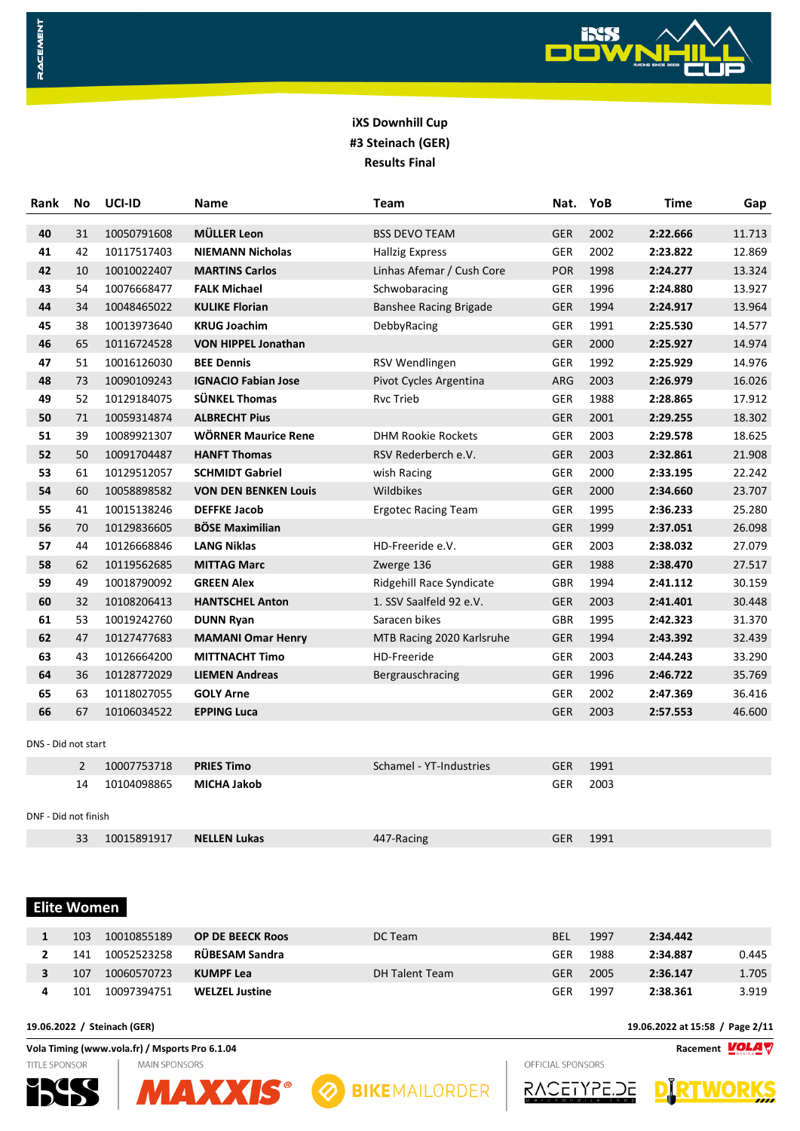

| Rank                 | No             | UCI-ID      | Name                        | Team                          | Nat.       | YoB  | <b>Time</b> | Gap    |
|----------------------|----------------|-------------|-----------------------------|-------------------------------|------------|------|-------------|--------|
| 40                   | 31             | 10050791608 | <b>MÜLLER Leon</b>          | <b>BSS DEVO TEAM</b>          | <b>GER</b> | 2002 | 2:22.666    | 11.713 |
| 41                   | 42             | 10117517403 | <b>NIEMANN Nicholas</b>     | <b>Hallzig Express</b>        | <b>GER</b> | 2002 | 2:23.822    | 12.869 |
| 42                   | 10             | 10010022407 | <b>MARTINS Carlos</b>       | Linhas Afemar / Cush Core     | <b>POR</b> | 1998 | 2:24.277    | 13.324 |
| 43                   | 54             | 10076668477 | <b>FALK Michael</b>         | Schwobaracing                 | <b>GER</b> | 1996 | 2:24.880    | 13.927 |
| 44                   | 34             | 10048465022 | <b>KULIKE Florian</b>       | <b>Banshee Racing Brigade</b> | <b>GER</b> | 1994 | 2:24.917    | 13.964 |
| 45                   | 38             | 10013973640 | <b>KRUG Joachim</b>         | DebbyRacing                   | GER        | 1991 | 2:25.530    | 14.577 |
| 46                   | 65             | 10116724528 | <b>VON HIPPEL Jonathan</b>  |                               | <b>GER</b> | 2000 | 2:25.927    | 14.974 |
| 47                   | 51             | 10016126030 | <b>BEE Dennis</b>           | RSV Wendlingen                | <b>GER</b> | 1992 | 2:25.929    | 14.976 |
| 48                   | 73             | 10090109243 | <b>IGNACIO Fabian Jose</b>  | Pivot Cycles Argentina        | ARG        | 2003 | 2:26.979    | 16.026 |
| 49                   | 52             | 10129184075 | <b>SÜNKEL Thomas</b>        | <b>Rvc Trieb</b>              | <b>GER</b> | 1988 | 2:28.865    | 17.912 |
| 50                   | 71             | 10059314874 | <b>ALBRECHT Pius</b>        |                               | <b>GER</b> | 2001 | 2:29.255    | 18.302 |
| 51                   | 39             | 10089921307 | <b>WÖRNER Maurice Rene</b>  | <b>DHM Rookie Rockets</b>     | <b>GER</b> | 2003 | 2:29.578    | 18.625 |
| 52                   | 50             | 10091704487 | <b>HANFT Thomas</b>         | RSV Rederberch e.V.           | <b>GER</b> | 2003 | 2:32.861    | 21.908 |
| 53                   | 61             | 10129512057 | <b>SCHMIDT Gabriel</b>      | wish Racing                   | <b>GER</b> | 2000 | 2:33.195    | 22.242 |
| 54                   | 60             | 10058898582 | <b>VON DEN BENKEN Louis</b> | Wildbikes                     | <b>GER</b> | 2000 | 2:34.660    | 23.707 |
| 55                   | 41             | 10015138246 | <b>DEFFKE Jacob</b>         | <b>Ergotec Racing Team</b>    | <b>GER</b> | 1995 | 2:36.233    | 25.280 |
| 56                   | 70             | 10129836605 | <b>BÖSE Maximilian</b>      |                               | <b>GER</b> | 1999 | 2:37.051    | 26.098 |
| 57                   | 44             | 10126668846 | <b>LANG Niklas</b>          | HD-Freeride e.V.              | <b>GER</b> | 2003 | 2:38.032    | 27.079 |
| 58                   | 62             | 10119562685 | <b>MITTAG Marc</b>          | Zwerge 136                    | <b>GER</b> | 1988 | 2:38.470    | 27.517 |
| 59                   | 49             | 10018790092 | <b>GREEN Alex</b>           | Ridgehill Race Syndicate      | <b>GBR</b> | 1994 | 2:41.112    | 30.159 |
| 60                   | 32             | 10108206413 | <b>HANTSCHEL Anton</b>      | 1. SSV Saalfeld 92 e.V.       | <b>GER</b> | 2003 | 2:41.401    | 30.448 |
| 61                   | 53             | 10019242760 | <b>DUNN Ryan</b>            | Saracen bikes                 | <b>GBR</b> | 1995 | 2:42.323    | 31.370 |
| 62                   | 47             | 10127477683 | <b>MAMANI Omar Henry</b>    | MTB Racing 2020 Karlsruhe     | <b>GER</b> | 1994 | 2:43.392    | 32.439 |
| 63                   | 43             | 10126664200 | <b>MITTNACHT Timo</b>       | <b>HD-Freeride</b>            | <b>GER</b> | 2003 | 2:44.243    | 33.290 |
| 64                   | 36             | 10128772029 | <b>LIEMEN Andreas</b>       | Bergrauschracing              | <b>GER</b> | 1996 | 2:46.722    | 35.769 |
| 65                   | 63             | 10118027055 | <b>GOLY Arne</b>            |                               | <b>GER</b> | 2002 | 2:47.369    | 36.416 |
| 66                   | 67             | 10106034522 | <b>EPPING Luca</b>          |                               | <b>GER</b> | 2003 | 2:57.553    | 46.600 |
| DNS - Did not start  |                |             |                             |                               |            |      |             |        |
|                      | $\overline{2}$ | 10007753718 | <b>PRIES Timo</b>           | Schamel - YT-Industries       | <b>GER</b> | 1991 |             |        |
|                      | 14             | 10104098865 | <b>MICHA Jakob</b>          |                               | GER        | 2003 |             |        |
| DNF - Did not finish |                |             |                             |                               |            |      |             |        |
|                      | 33             | 10015891917 | <b>NELLEN Lukas</b>         | 447-Racing                    | <b>GER</b> | 1991 |             |        |
|                      |                |             |                             |                               |            |      |             |        |

 **Elite Women** 

RACEMENT

| 103 | 10010855189 | <b>OP DE BEECK Roos</b> | DC Team        | <b>BEL</b> | 1997 | 2:34.442 |       |
|-----|-------------|-------------------------|----------------|------------|------|----------|-------|
| 141 | 10052523258 | RÜBESAM Sandra          |                | GER        | 1988 | 2:34.887 | 0.445 |
| 107 | 10060570723 | KUMPF Lea               | DH Talent Team | GER        | 2005 | 2:36.147 | 1.705 |
| 101 | 10097394751 | <b>WELZEL Justine</b>   |                | GER        | 1997 | 2:38.361 | 3.919 |

**19.06.2022 / Steinach (GER) 19.06.2022 at 15:58 / Page 2/11**

**Vola Timing (www.vola.fr) / Msports Pro 6.1.04 Racement**  $\frac{VOLAV}{N}$ TITLE SPONSOR **MAIN SPONSORS** 







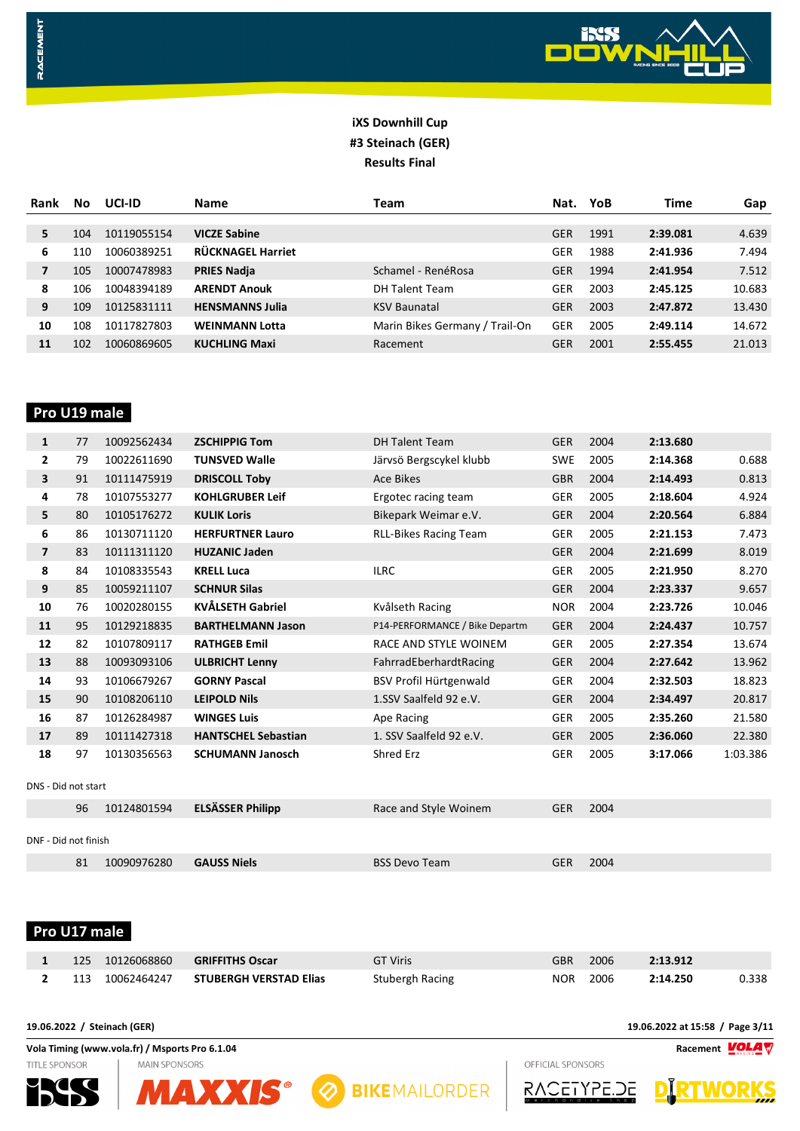

| Rank | No  | UCI-ID      | <b>Name</b>              | Team                           | Nat.       | YoB  | Time     | Gap    |
|------|-----|-------------|--------------------------|--------------------------------|------------|------|----------|--------|
| 5    | 104 | 10119055154 | <b>VICZE Sabine</b>      |                                | <b>GER</b> | 1991 | 2:39.081 | 4.639  |
|      |     |             |                          |                                |            |      |          |        |
| 6    | 110 | 10060389251 | <b>RÜCKNAGEL Harriet</b> |                                | GER        | 1988 | 2:41.936 | 7.494  |
| 7    | 105 | 10007478983 | <b>PRIES Nadja</b>       | Schamel - RenéRosa             | <b>GER</b> | 1994 | 2:41.954 | 7.512  |
| 8    | 106 | 10048394189 | <b>ARENDT Anouk</b>      | <b>DH Talent Team</b>          | GER        | 2003 | 2:45.125 | 10.683 |
| 9    | 109 | 10125831111 | <b>HENSMANNS Julia</b>   | <b>KSV Baunatal</b>            | <b>GER</b> | 2003 | 2:47.872 | 13.430 |
| 10   | 108 | 10117827803 | <b>WEINMANN Lotta</b>    | Marin Bikes Germany / Trail-On | GER        | 2005 | 2:49.114 | 14.672 |
| 11   | 102 | 10060869605 | <b>KUCHLING Maxi</b>     | Racement                       | GER        | 2001 | 2:55.455 | 21.013 |

## **Pro U19 male**

RACEMENT

| 1                    | 77 | 10092562434 | <b>ZSCHIPPIG Tom</b>       | <b>DH Talent Team</b>          | <b>GER</b> | 2004 | 2:13.680 |          |
|----------------------|----|-------------|----------------------------|--------------------------------|------------|------|----------|----------|
| $\mathbf{2}$         | 79 | 10022611690 | <b>TUNSVED Walle</b>       | Järvsö Bergscykel klubb        | <b>SWE</b> | 2005 | 2:14.368 | 0.688    |
| 3                    | 91 | 10111475919 | <b>DRISCOLL Toby</b>       | <b>Ace Bikes</b>               | <b>GBR</b> | 2004 | 2:14.493 | 0.813    |
| 4                    | 78 | 10107553277 | <b>KOHLGRUBER Leif</b>     | Ergotec racing team            | <b>GER</b> | 2005 | 2:18.604 | 4.924    |
| 5                    | 80 | 10105176272 | <b>KULIK Loris</b>         | Bikepark Weimar e.V.           | <b>GER</b> | 2004 | 2:20.564 | 6.884    |
| 6                    | 86 | 10130711120 | <b>HERFURTNER Lauro</b>    | <b>RLL-Bikes Racing Team</b>   | <b>GER</b> | 2005 | 2:21.153 | 7.473    |
| $\overline{ }$       | 83 | 10111311120 | <b>HUZANIC Jaden</b>       |                                | <b>GER</b> | 2004 | 2:21.699 | 8.019    |
| 8                    | 84 | 10108335543 | <b>KRELL Luca</b>          | <b>ILRC</b>                    | <b>GER</b> | 2005 | 2:21.950 | 8.270    |
| 9                    | 85 | 10059211107 | <b>SCHNUR Silas</b>        |                                | <b>GER</b> | 2004 | 2:23.337 | 9.657    |
| 10                   | 76 | 10020280155 | <b>KVÅLSETH Gabriel</b>    | Kvålseth Racing                | <b>NOR</b> | 2004 | 2:23.726 | 10.046   |
| 11                   | 95 | 10129218835 | <b>BARTHELMANN Jason</b>   | P14-PERFORMANCE / Bike Departm | <b>GER</b> | 2004 | 2:24.437 | 10.757   |
| 12                   | 82 | 10107809117 | <b>RATHGEB Emil</b>        | RACE AND STYLE WOINEM          | <b>GER</b> | 2005 | 2:27.354 | 13.674   |
| 13                   | 88 | 10093093106 | <b>ULBRICHT Lenny</b>      | FahrradEberhardtRacing         | <b>GER</b> | 2004 | 2:27.642 | 13.962   |
| 14                   | 93 | 10106679267 | <b>GORNY Pascal</b>        | BSV Profil Hürtgenwald         | <b>GER</b> | 2004 | 2:32.503 | 18.823   |
| 15                   | 90 | 10108206110 | <b>LEIPOLD Nils</b>        | 1.SSV Saalfeld 92 e.V.         | <b>GER</b> | 2004 | 2:34.497 | 20.817   |
| 16                   | 87 | 10126284987 | <b>WINGES Luis</b>         | Ape Racing                     | <b>GER</b> | 2005 | 2:35.260 | 21.580   |
| 17                   | 89 | 10111427318 | <b>HANTSCHEL Sebastian</b> | 1. SSV Saalfeld 92 e.V.        | <b>GER</b> | 2005 | 2:36.060 | 22.380   |
| 18                   | 97 | 10130356563 | <b>SCHUMANN Janosch</b>    | <b>Shred Erz</b>               | <b>GER</b> | 2005 | 3:17.066 | 1:03.386 |
| DNS - Did not start  |    |             |                            |                                |            |      |          |          |
|                      | 96 | 10124801594 | <b>ELSÄSSER Philipp</b>    | Race and Style Woinem          | <b>GER</b> | 2004 |          |          |
| DNF - Did not finish |    |             |                            |                                |            |      |          |          |
|                      | 81 | 10090976280 | <b>GAUSS Niels</b>         | <b>BSS Devo Team</b>           | <b>GER</b> | 2004 |          |          |

#### **Pro U17 male**

| 1 125 10126068860 | <b>GRIFFITHS Oscar</b>                   | <b>GT Viris</b> | GBR 2006 | 2:13.912 |       |
|-------------------|------------------------------------------|-----------------|----------|----------|-------|
|                   | 2 113 10062464247 STUBERGH VERSTAD Elias | Stubergh Racing | NOR 2006 | 2:14.250 | 0.338 |

**MAIN SPONSORS** 

**19.06.2022 / Steinach (GER) 19.06.2022 at 15:58 / Page 3/11**

**Vola Timing (www.vola.fr) / Msports Pro 6.1.04 Racement**  $\frac{VOLAV}{N}$ OFFICIAL SPONSORS



TITLE SPONSOR







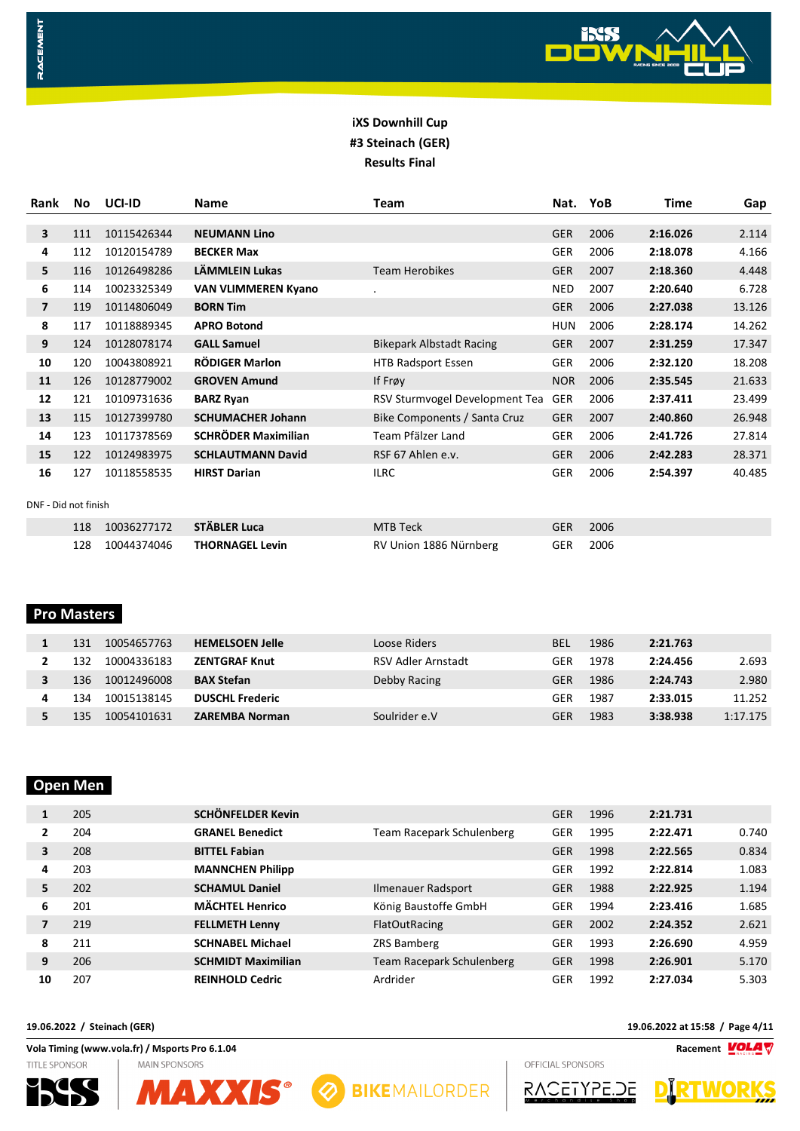

| Rank                 | No. | UCI-ID      | Name                       | <b>Team</b>                     | Nat.       | YoB  | Time     | Gap    |
|----------------------|-----|-------------|----------------------------|---------------------------------|------------|------|----------|--------|
|                      |     |             |                            |                                 |            |      |          |        |
| 3                    | 111 | 10115426344 | <b>NEUMANN Lino</b>        |                                 | <b>GER</b> | 2006 | 2:16.026 | 2.114  |
| 4                    | 112 | 10120154789 | <b>BECKER Max</b>          |                                 | <b>GER</b> | 2006 | 2:18.078 | 4.166  |
| 5                    | 116 | 10126498286 | LÄMMLEIN Lukas             | <b>Team Herobikes</b>           | <b>GER</b> | 2007 | 2:18.360 | 4.448  |
| 6                    | 114 | 10023325349 | <b>VAN VLIMMEREN Kyano</b> |                                 | <b>NED</b> | 2007 | 2:20.640 | 6.728  |
| $\overline{7}$       | 119 | 10114806049 | <b>BORN Tim</b>            |                                 | <b>GER</b> | 2006 | 2:27.038 | 13.126 |
| 8                    | 117 | 10118889345 | <b>APRO Botond</b>         |                                 | <b>HUN</b> | 2006 | 2:28.174 | 14.262 |
| 9                    | 124 | 10128078174 | <b>GALL Samuel</b>         | <b>Bikepark Albstadt Racing</b> | <b>GER</b> | 2007 | 2:31.259 | 17.347 |
| 10                   | 120 | 10043808921 | <b>RÖDIGER Marlon</b>      | <b>HTB Radsport Essen</b>       | <b>GER</b> | 2006 | 2:32.120 | 18.208 |
| 11                   | 126 | 10128779002 | <b>GROVEN Amund</b>        | If Frøy                         | <b>NOR</b> | 2006 | 2:35.545 | 21.633 |
| 12                   | 121 | 10109731636 | <b>BARZ Ryan</b>           | RSV Sturmvogel Development Tea  | <b>GER</b> | 2006 | 2:37.411 | 23.499 |
| 13                   | 115 | 10127399780 | <b>SCHUMACHER Johann</b>   | Bike Components / Santa Cruz    | <b>GER</b> | 2007 | 2:40.860 | 26.948 |
| 14                   | 123 | 10117378569 | <b>SCHRÖDER Maximilian</b> | Team Pfälzer Land               | <b>GER</b> | 2006 | 2:41.726 | 27.814 |
| 15                   | 122 | 10124983975 | <b>SCHLAUTMANN David</b>   | RSF 67 Ahlen e.v.               | <b>GER</b> | 2006 | 2:42.283 | 28.371 |
| 16                   | 127 | 10118558535 | <b>HIRST Darian</b>        | <b>ILRC</b>                     | <b>GER</b> | 2006 | 2:54.397 | 40.485 |
|                      |     |             |                            |                                 |            |      |          |        |
| DNF - Did not finish |     |             |                            |                                 |            |      |          |        |
|                      | 118 | 10036277172 | STÄBLER Luca               | MTB Teck                        | <b>GER</b> | 2006 |          |        |
|                      | 128 | 10044374046 | <b>THORNAGEL Levin</b>     | RV Union 1886 Nürnberg          | <b>GER</b> | 2006 |          |        |

#### **Pro Masters**

RACEMENT

| 131  | 10054657763 | <b>HEMELSOEN Jelle</b> | Loose Riders       | BEL | 1986 | 2:21.763 |          |
|------|-------------|------------------------|--------------------|-----|------|----------|----------|
| 132  | 10004336183 | <b>ZENTGRAF Knut</b>   | RSV Adler Arnstadt | GER | 1978 | 2:24.456 | 2.693    |
| 136  | 10012496008 | <b>BAX Stefan</b>      | Debby Racing       | GER | 1986 | 2:24.743 | 2.980    |
| ' 34 | 10015138145 | <b>DUSCHL Frederic</b> |                    | GER | 1987 | 2:33.015 | 11.252   |
| 135  | 10054101631 | <b>ZAREMBA Norman</b>  | Soulrider e.V      | GER | 1983 | 3:38.938 | 1:17.175 |

#### **Open Men**

| 1  | 205 | <b>SCHÖNFELDER Kevin</b>  |                           | <b>GER</b> | 1996 | 2:21.731 |       |
|----|-----|---------------------------|---------------------------|------------|------|----------|-------|
| 2  | 204 | <b>GRANEL Benedict</b>    | Team Racepark Schulenberg | <b>GER</b> | 1995 | 2:22.471 | 0.740 |
| 3  | 208 | <b>BITTEL Fabian</b>      |                           | <b>GER</b> | 1998 | 2:22.565 | 0.834 |
| 4  | 203 | <b>MANNCHEN Philipp</b>   |                           | GER        | 1992 | 2:22.814 | 1.083 |
| 5. | 202 | <b>SCHAMUL Daniel</b>     | Ilmenauer Radsport        | <b>GER</b> | 1988 | 2:22.925 | 1.194 |
| 6  | 201 | <b>MÄCHTEL Henrico</b>    | König Baustoffe GmbH      | GER        | 1994 | 2:23.416 | 1.685 |
| 7  | 219 | <b>FELLMETH Lenny</b>     | <b>FlatOutRacing</b>      | <b>GER</b> | 2002 | 2:24.352 | 2.621 |
| 8  | 211 | <b>SCHNABEL Michael</b>   | <b>ZRS Bamberg</b>        | <b>GER</b> | 1993 | 2:26.690 | 4.959 |
| 9  | 206 | <b>SCHMIDT Maximilian</b> | Team Racepark Schulenberg | <b>GER</b> | 1998 | 2:26.901 | 5.170 |
| 10 | 207 | <b>REINHOLD Cedric</b>    | Ardrider                  | GER        | 1992 | 2:27.034 | 5.303 |

**19.06.2022 / Steinach (GER) 19.06.2022 at 15:58 / Page 4/11**

**Vola Timing (www.vola.fr) / Msports Pro 6.1.04 Racement**  $\frac{VOLAV}{N}$ TITLE SPONSOR **MAIN SPONSORS** 







OFFICIAL SPONSORS RACETYPE.DE

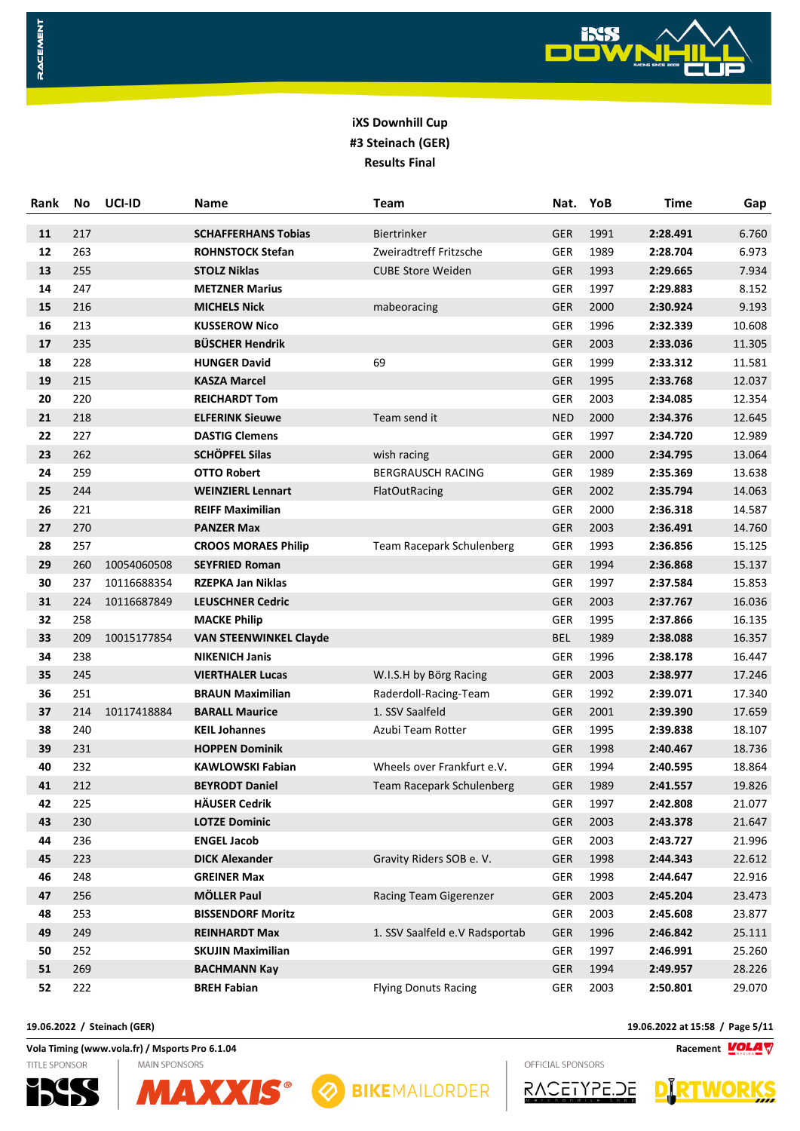

| Rank | No  | UCI-ID      | Name                          | <b>Team</b>                      | Nat.       | YoB  | <b>Time</b> | Gap    |
|------|-----|-------------|-------------------------------|----------------------------------|------------|------|-------------|--------|
| 11   | 217 |             | <b>SCHAFFERHANS Tobias</b>    | <b>Biertrinker</b>               | <b>GER</b> | 1991 | 2:28.491    | 6.760  |
| 12   | 263 |             | <b>ROHNSTOCK Stefan</b>       | Zweiradtreff Fritzsche           | <b>GER</b> | 1989 | 2:28.704    | 6.973  |
| 13   | 255 |             | <b>STOLZ Niklas</b>           | <b>CUBE Store Weiden</b>         | GER        | 1993 | 2:29.665    | 7.934  |
| 14   | 247 |             | <b>METZNER Marius</b>         |                                  | <b>GER</b> | 1997 | 2:29.883    | 8.152  |
| 15   | 216 |             | <b>MICHELS Nick</b>           | mabeoracing                      | GER        | 2000 | 2:30.924    | 9.193  |
| 16   | 213 |             | <b>KUSSEROW Nico</b>          |                                  | <b>GER</b> | 1996 | 2:32.339    | 10.608 |
| 17   | 235 |             | <b>BÜSCHER Hendrik</b>        |                                  | <b>GER</b> | 2003 | 2:33.036    | 11.305 |
| 18   | 228 |             | <b>HUNGER David</b>           | 69                               | <b>GER</b> | 1999 | 2:33.312    | 11.581 |
| 19   | 215 |             | <b>KASZA Marcel</b>           |                                  | <b>GER</b> | 1995 | 2:33.768    | 12.037 |
| 20   | 220 |             | <b>REICHARDT Tom</b>          |                                  | <b>GER</b> | 2003 | 2:34.085    | 12.354 |
| 21   | 218 |             | <b>ELFERINK Sieuwe</b>        | Team send it                     | <b>NED</b> | 2000 | 2:34.376    | 12.645 |
| 22   | 227 |             | <b>DASTIG Clemens</b>         |                                  | <b>GER</b> | 1997 | 2:34.720    | 12.989 |
| 23   | 262 |             | <b>SCHÖPFEL Silas</b>         | wish racing                      | <b>GER</b> | 2000 | 2:34.795    | 13.064 |
| 24   | 259 |             | <b>OTTO Robert</b>            | <b>BERGRAUSCH RACING</b>         | <b>GER</b> | 1989 | 2:35.369    | 13.638 |
| 25   | 244 |             | <b>WEINZIERL Lennart</b>      | FlatOutRacing                    | <b>GER</b> | 2002 | 2:35.794    | 14.063 |
| 26   | 221 |             | <b>REIFF Maximilian</b>       |                                  | <b>GER</b> | 2000 | 2:36.318    | 14.587 |
| 27   | 270 |             | <b>PANZER Max</b>             |                                  | <b>GER</b> | 2003 | 2:36.491    | 14.760 |
| 28   | 257 |             | <b>CROOS MORAES Philip</b>    | <b>Team Racepark Schulenberg</b> | <b>GER</b> | 1993 | 2:36.856    | 15.125 |
| 29   | 260 | 10054060508 | <b>SEYFRIED Roman</b>         |                                  | <b>GER</b> | 1994 | 2:36.868    | 15.137 |
| 30   | 237 | 10116688354 | <b>RZEPKA Jan Niklas</b>      |                                  | GER        | 1997 | 2:37.584    | 15.853 |
| 31   | 224 | 10116687849 | <b>LEUSCHNER Cedric</b>       |                                  | <b>GER</b> | 2003 | 2:37.767    | 16.036 |
| 32   | 258 |             | <b>MACKE Philip</b>           |                                  | GER        | 1995 | 2:37.866    | 16.135 |
| 33   | 209 | 10015177854 | <b>VAN STEENWINKEL Clayde</b> |                                  | <b>BEL</b> | 1989 | 2:38.088    | 16.357 |
| 34   | 238 |             | <b>NIKENICH Janis</b>         |                                  | <b>GER</b> | 1996 | 2:38.178    | 16.447 |
| 35   | 245 |             | <b>VIERTHALER Lucas</b>       | W.I.S.H by Börg Racing           | <b>GER</b> | 2003 | 2:38.977    | 17.246 |
| 36   | 251 |             | <b>BRAUN Maximilian</b>       | Raderdoll-Racing-Team            | GER        | 1992 | 2:39.071    | 17.340 |
| 37   | 214 | 10117418884 | <b>BARALL Maurice</b>         | 1. SSV Saalfeld                  | GER        | 2001 | 2:39.390    | 17.659 |
| 38   | 240 |             | <b>KEIL Johannes</b>          | Azubi Team Rotter                | <b>GER</b> | 1995 | 2:39.838    | 18.107 |
| 39   | 231 |             | <b>HOPPEN Dominik</b>         |                                  | <b>GER</b> | 1998 | 2:40.467    | 18.736 |
| 40   | 232 |             | <b>KAWLOWSKI Fabian</b>       | Wheels over Frankfurt e.V.       | <b>GER</b> | 1994 | 2:40.595    | 18.864 |
| 41   | 212 |             | <b>BEYRODT Daniel</b>         | <b>Team Racepark Schulenberg</b> | <b>GER</b> | 1989 | 2:41.557    | 19.826 |
| 42   | 225 |             | <b>HÄUSER Cedrik</b>          |                                  | GER        | 1997 | 2:42.808    | 21.077 |
| 43   | 230 |             | <b>LOTZE Dominic</b>          |                                  | GER        | 2003 | 2:43.378    | 21.647 |
| 44   | 236 |             | <b>ENGEL Jacob</b>            |                                  | GER        | 2003 | 2:43.727    | 21.996 |
| 45   | 223 |             | <b>DICK Alexander</b>         | Gravity Riders SOB e. V.         | GER        | 1998 | 2:44.343    | 22.612 |
| 46   | 248 |             | <b>GREINER Max</b>            |                                  | <b>GER</b> | 1998 | 2:44.647    | 22.916 |
| 47   | 256 |             | <b>MÖLLER Paul</b>            | Racing Team Gigerenzer           | <b>GER</b> | 2003 | 2:45.204    | 23.473 |
| 48   | 253 |             | <b>BISSENDORF Moritz</b>      |                                  | <b>GER</b> | 2003 | 2:45.608    | 23.877 |
| 49   | 249 |             | <b>REINHARDT Max</b>          | 1. SSV Saalfeld e.V Radsportab   | <b>GER</b> | 1996 | 2:46.842    | 25.111 |
| 50   | 252 |             | <b>SKUJIN Maximilian</b>      |                                  | <b>GER</b> | 1997 | 2:46.991    | 25.260 |
| 51   | 269 |             | <b>BACHMANN Kay</b>           |                                  | GER        | 1994 | 2:49.957    | 28.226 |
| 52   | 222 |             | <b>BREH Fabian</b>            | <b>Flying Donuts Racing</b>      | <b>GER</b> | 2003 | 2:50.801    | 29.070 |

**Vola Timing (www.vola.fr) / Msports Pro 6.1.04 Racement**

**MAIN SPONSORS** 

**TITLE SPONSOR** 

RACEMENT





OFFICIAL SPONSORS RACETYPE.DE



**19.06.2022 / Steinach (GER) 19.06.2022 at 15:58 / Page 5/11**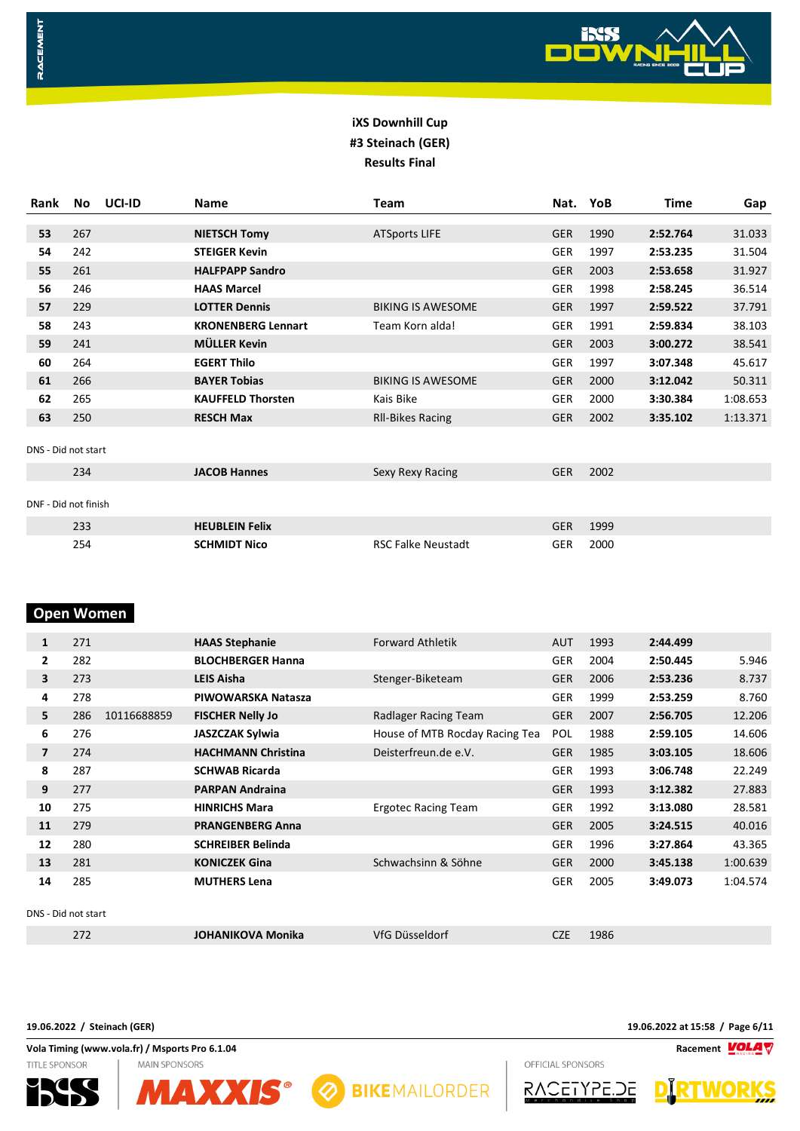

| Rank                 | No  | UCI-ID | <b>Name</b>               | <b>Team</b>               | Nat.       | YoB  | <b>Time</b> | Gap      |
|----------------------|-----|--------|---------------------------|---------------------------|------------|------|-------------|----------|
|                      |     |        |                           |                           |            |      |             |          |
| 53                   | 267 |        | <b>NIETSCH Tomy</b>       | <b>ATSports LIFE</b>      | <b>GER</b> | 1990 | 2:52.764    | 31.033   |
| 54                   | 242 |        | <b>STEIGER Kevin</b>      |                           | <b>GER</b> | 1997 | 2:53.235    | 31.504   |
| 55                   | 261 |        | <b>HALFPAPP Sandro</b>    |                           | <b>GER</b> | 2003 | 2:53.658    | 31.927   |
| 56                   | 246 |        | <b>HAAS Marcel</b>        |                           | <b>GER</b> | 1998 | 2:58.245    | 36.514   |
| 57                   | 229 |        | <b>LOTTER Dennis</b>      | <b>BIKING IS AWESOME</b>  | <b>GER</b> | 1997 | 2:59.522    | 37.791   |
| 58                   | 243 |        | <b>KRONENBERG Lennart</b> | Team Korn alda!           | <b>GER</b> | 1991 | 2:59.834    | 38.103   |
| 59                   | 241 |        | <b>MÜLLER Kevin</b>       |                           | <b>GER</b> | 2003 | 3:00.272    | 38.541   |
| 60                   | 264 |        | <b>EGERT Thilo</b>        |                           | <b>GER</b> | 1997 | 3:07.348    | 45.617   |
| 61                   | 266 |        | <b>BAYER Tobias</b>       | <b>BIKING IS AWESOME</b>  | <b>GER</b> | 2000 | 3:12.042    | 50.311   |
| 62                   | 265 |        | <b>KAUFFELD Thorsten</b>  | Kais Bike                 | <b>GER</b> | 2000 | 3:30.384    | 1:08.653 |
| 63                   | 250 |        | <b>RESCH Max</b>          | <b>RII-Bikes Racing</b>   | <b>GER</b> | 2002 | 3:35.102    | 1:13.371 |
| DNS - Did not start  |     |        |                           |                           |            |      |             |          |
|                      | 234 |        | <b>JACOB Hannes</b>       | Sexy Rexy Racing          | <b>GER</b> | 2002 |             |          |
|                      |     |        |                           |                           |            |      |             |          |
| DNF - Did not finish |     |        |                           |                           |            |      |             |          |
|                      | 233 |        | <b>HEUBLEIN Felix</b>     |                           | <b>GER</b> | 1999 |             |          |
|                      | 254 |        | <b>SCHMIDT Nico</b>       | <b>RSC Falke Neustadt</b> | <b>GER</b> | 2000 |             |          |

# **Open Women**

RACEMENT

| 1                   | 271 |             | <b>HAAS Stephanie</b>     | <b>Forward Athletik</b>        | <b>AUT</b> | 1993 | 2:44.499 |          |
|---------------------|-----|-------------|---------------------------|--------------------------------|------------|------|----------|----------|
| $\mathbf{2}$        | 282 |             | <b>BLOCHBERGER Hanna</b>  |                                | <b>GER</b> | 2004 | 2:50.445 | 5.946    |
| 3                   | 273 |             | <b>LEIS Aisha</b>         | Stenger-Biketeam               | <b>GER</b> | 2006 | 2:53.236 | 8.737    |
| 4                   | 278 |             | PIWOWARSKA Natasza        |                                | <b>GER</b> | 1999 | 2:53.259 | 8.760    |
| 5                   | 286 | 10116688859 | <b>FISCHER Nelly Jo</b>   | Radlager Racing Team           | <b>GER</b> | 2007 | 2:56.705 | 12.206   |
| 6                   | 276 |             | <b>JASZCZAK Sylwia</b>    | House of MTB Rocday Racing Tea | <b>POL</b> | 1988 | 2:59.105 | 14.606   |
| $\overline{ }$      | 274 |             | <b>HACHMANN Christina</b> | Deisterfreun.de e.V.           | <b>GER</b> | 1985 | 3:03.105 | 18.606   |
| 8                   | 287 |             | <b>SCHWAB Ricarda</b>     |                                | <b>GER</b> | 1993 | 3:06.748 | 22.249   |
| 9                   | 277 |             | <b>PARPAN Andraina</b>    |                                | <b>GER</b> | 1993 | 3:12.382 | 27.883   |
| 10                  | 275 |             | <b>HINRICHS Mara</b>      | <b>Ergotec Racing Team</b>     | GER        | 1992 | 3:13.080 | 28.581   |
| 11                  | 279 |             | <b>PRANGENBERG Anna</b>   |                                | <b>GER</b> | 2005 | 3:24.515 | 40.016   |
| 12                  | 280 |             | <b>SCHREIBER Belinda</b>  |                                | <b>GER</b> | 1996 | 3:27.864 | 43.365   |
| 13                  | 281 |             | <b>KONICZEK Gina</b>      | Schwachsinn & Söhne            | <b>GER</b> | 2000 | 3:45.138 | 1:00.639 |
| 14                  | 285 |             | <b>MUTHERS Lena</b>       |                                | <b>GER</b> | 2005 | 3:49.073 | 1:04.574 |
| DNS - Did not start |     |             |                           |                                |            |      |          |          |
|                     | 272 |             | <b>JOHANIKOVA Monika</b>  | VfG Düsseldorf                 | <b>CZE</b> | 1986 |          |          |

**19.06.2022 / Steinach (GER) 19.06.2022 at 15:58 / Page 6/11**

**Vola Timing (www.vola.fr) / Msports Pro 6.1.04 Racement** OFFICIAL SPONSORS



TITLE SPONSOR



**MAIN SPONSORS** 





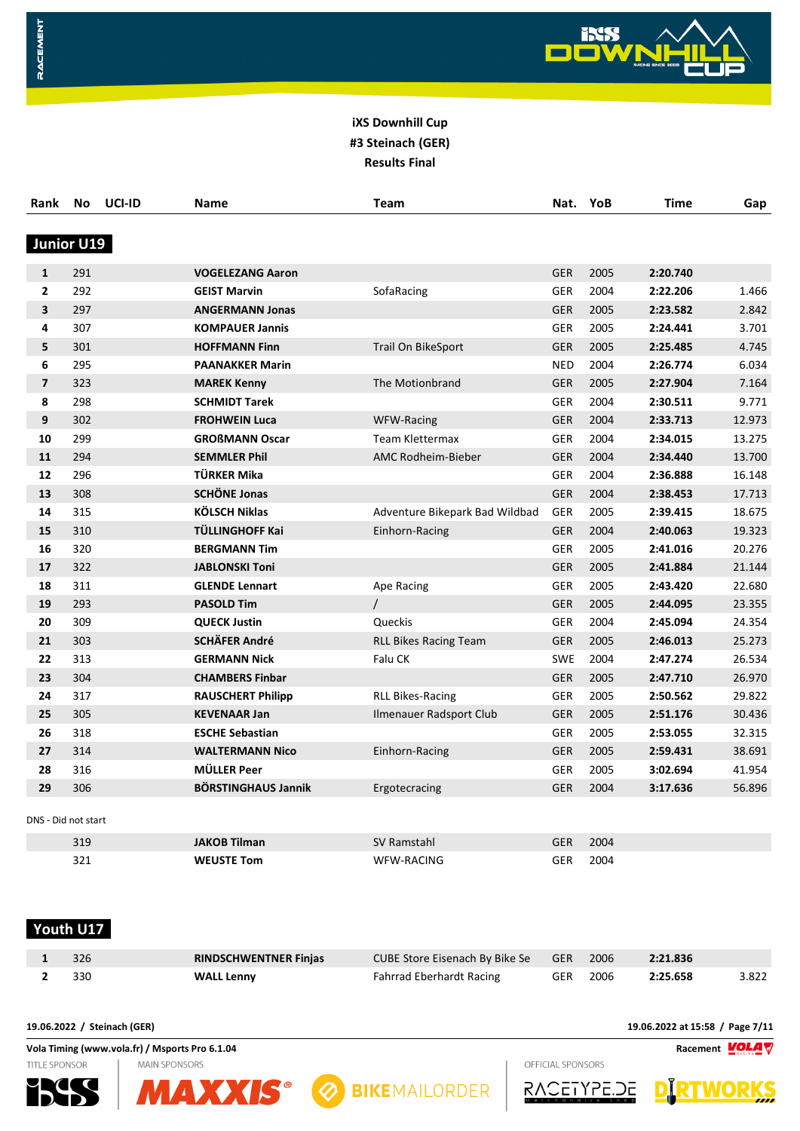

| Rank                | No  | UCI-ID | Name                       | Team                           | Nat.       | YoB  | <b>Time</b> | Gap    |
|---------------------|-----|--------|----------------------------|--------------------------------|------------|------|-------------|--------|
| Junior U19          |     |        |                            |                                |            |      |             |        |
| $\mathbf{1}$        | 291 |        | <b>VOGELEZANG Aaron</b>    |                                | <b>GER</b> | 2005 | 2:20.740    |        |
| $\overline{2}$      | 292 |        | <b>GEIST Marvin</b>        | SofaRacing                     | <b>GER</b> | 2004 | 2:22.206    | 1.466  |
| 3                   | 297 |        | <b>ANGERMANN Jonas</b>     |                                | <b>GER</b> | 2005 | 2:23.582    | 2.842  |
| 4                   | 307 |        | <b>KOMPAUER Jannis</b>     |                                | <b>GER</b> | 2005 | 2:24.441    | 3.701  |
| 5                   | 301 |        | <b>HOFFMANN Finn</b>       | Trail On BikeSport             | <b>GER</b> | 2005 | 2:25.485    | 4.745  |
| 6                   | 295 |        | <b>PAANAKKER Marin</b>     |                                | <b>NED</b> | 2004 | 2:26.774    | 6.034  |
| $\overline{7}$      | 323 |        | <b>MAREK Kenny</b>         | The Motionbrand                | <b>GER</b> | 2005 | 2:27.904    | 7.164  |
| 8                   | 298 |        | <b>SCHMIDT Tarek</b>       |                                | GER        | 2004 | 2:30.511    | 9.771  |
| 9                   | 302 |        | <b>FROHWEIN Luca</b>       | WFW-Racing                     | <b>GER</b> | 2004 | 2:33.713    | 12.973 |
| 10                  | 299 |        | <b>GROßMANN Oscar</b>      | Team Klettermax                | <b>GER</b> | 2004 | 2:34.015    | 13.275 |
| 11                  | 294 |        | <b>SEMMLER Phil</b>        | <b>AMC Rodheim-Bieber</b>      | <b>GER</b> | 2004 | 2:34.440    | 13.700 |
| 12                  | 296 |        | TÜRKER Mika                |                                | GER        | 2004 | 2:36.888    | 16.148 |
| 13                  | 308 |        | <b>SCHÖNE Jonas</b>        |                                | <b>GER</b> | 2004 | 2:38.453    | 17.713 |
| 14                  | 315 |        | <b>KÖLSCH Niklas</b>       | Adventure Bikepark Bad Wildbad | <b>GER</b> | 2005 | 2:39.415    | 18.675 |
| 15                  | 310 |        | TÜLLINGHOFF Kai            | Einhorn-Racing                 | <b>GER</b> | 2004 | 2:40.063    | 19.323 |
| 16                  | 320 |        | <b>BERGMANN Tim</b>        |                                | <b>GER</b> | 2005 | 2:41.016    | 20.276 |
| 17                  | 322 |        | <b>JABLONSKI Toni</b>      |                                | <b>GER</b> | 2005 | 2:41.884    | 21.144 |
| 18                  | 311 |        | <b>GLENDE Lennart</b>      | Ape Racing                     | <b>GER</b> | 2005 | 2:43.420    | 22.680 |
| 19                  | 293 |        | <b>PASOLD Tim</b>          | $\prime$                       | <b>GER</b> | 2005 | 2:44.095    | 23.355 |
| 20                  | 309 |        | <b>QUECK Justin</b>        | Queckis                        | <b>GER</b> | 2004 | 2:45.094    | 24.354 |
| 21                  | 303 |        | <b>SCHÄFER André</b>       | <b>RLL Bikes Racing Team</b>   | <b>GER</b> | 2005 | 2:46.013    | 25.273 |
| 22                  | 313 |        | <b>GERMANN Nick</b>        | Falu CK                        | <b>SWE</b> | 2004 | 2:47.274    | 26.534 |
| 23                  | 304 |        | <b>CHAMBERS Finbar</b>     |                                | <b>GER</b> | 2005 | 2:47.710    | 26.970 |
| 24                  | 317 |        | <b>RAUSCHERT Philipp</b>   | <b>RLL Bikes-Racing</b>        | <b>GER</b> | 2005 | 2:50.562    | 29.822 |
| 25                  | 305 |        | <b>KEVENAAR Jan</b>        | Ilmenauer Radsport Club        | <b>GER</b> | 2005 | 2:51.176    | 30.436 |
| 26                  | 318 |        | <b>ESCHE Sebastian</b>     |                                | <b>GER</b> | 2005 | 2:53.055    | 32.315 |
| 27                  | 314 |        | <b>WALTERMANN Nico</b>     | Einhorn-Racing                 | <b>GER</b> | 2005 | 2:59.431    | 38.691 |
| 28                  | 316 |        | <b>MÜLLER Peer</b>         |                                | <b>GER</b> | 2005 | 3:02.694    | 41.954 |
| 29                  | 306 |        | <b>BÖRSTINGHAUS Jannik</b> | Ergotecracing                  | <b>GER</b> | 2004 | 3:17.636    | 56.896 |
| DNS - Did not start |     |        |                            |                                |            |      |             |        |
|                     | 319 |        | <b>JAKOB Tilman</b>        | <b>SV Ramstahl</b>             | <b>GER</b> | 2004 |             |        |
|                     | 321 |        | <b>WEUSTE Tom</b>          | <b>WFW-RACING</b>              | <b>GER</b> | 2004 |             |        |

#### **Youth U17**

RACEMENT

| $1 \t326$ | <b>RINDSCHWENTNER Finjas</b> | CUBE Store Eisenach By Bike Se GER 2006 2:21.836 |  |                   |       |
|-----------|------------------------------|--------------------------------------------------|--|-------------------|-------|
| 2 330     | <b>WALL Lenny</b>            | Fahrrad Eberhardt Racing                         |  | GER 2006 2:25.658 | 3.822 |

**19.06.2022 / Steinach (GER) 19.06.2022 at 15:58 / Page 7/11**

**Vola Timing (www.vola.fr) / Msports Pro 6.1.04 Racement TITLE SPONSOR MAIN SPONSORS** 









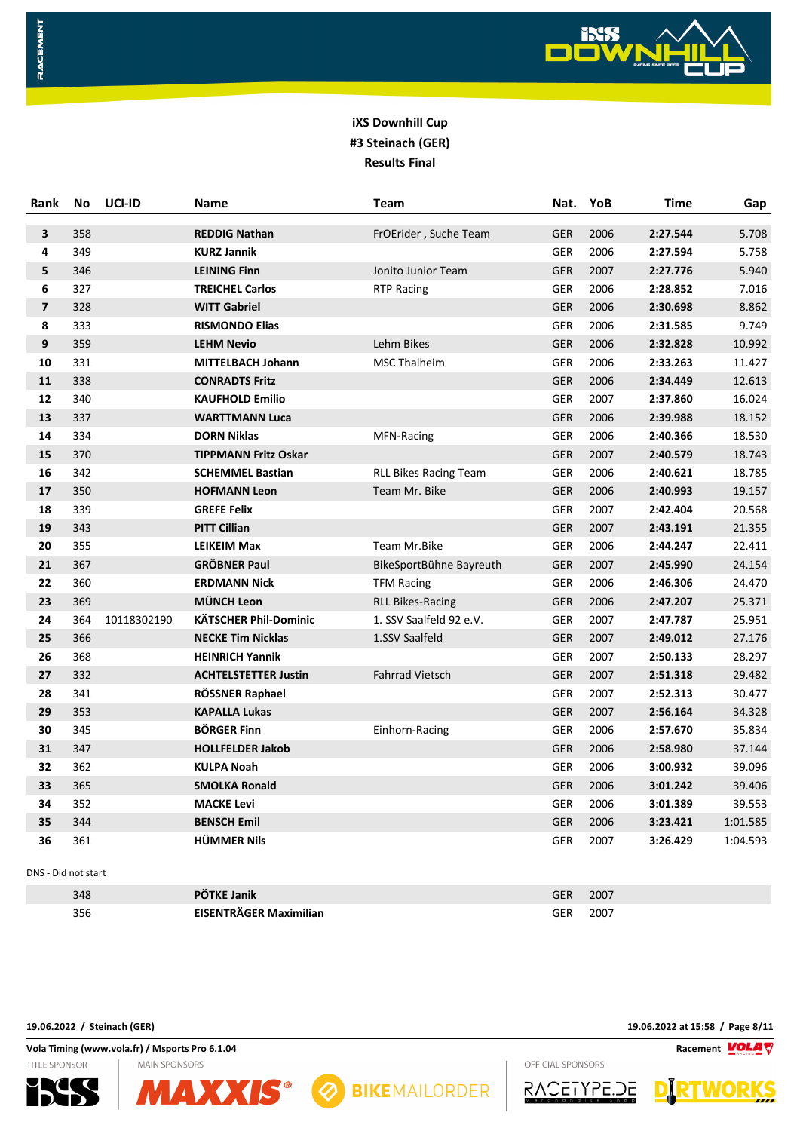

| Rank                | No  | UCI-ID      | Name                         | <b>Team</b>                  | Nat.       | YoB  | <b>Time</b> | Gap      |
|---------------------|-----|-------------|------------------------------|------------------------------|------------|------|-------------|----------|
| 3                   | 358 |             | <b>REDDIG Nathan</b>         | FrOErider, Suche Team        | <b>GER</b> | 2006 | 2:27.544    | 5.708    |
| 4                   | 349 |             | <b>KURZ Jannik</b>           |                              | GER        | 2006 | 2:27.594    | 5.758    |
| 5                   | 346 |             | <b>LEINING Finn</b>          | Jonito Junior Team           | <b>GER</b> | 2007 | 2:27.776    | 5.940    |
| 6                   | 327 |             | <b>TREICHEL Carlos</b>       | <b>RTP Racing</b>            | GER        | 2006 | 2:28.852    | 7.016    |
| $\overline{7}$      | 328 |             | <b>WITT Gabriel</b>          |                              | <b>GER</b> | 2006 | 2:30.698    | 8.862    |
| 8                   | 333 |             | <b>RISMONDO Elias</b>        |                              | GER        | 2006 | 2:31.585    | 9.749    |
| 9                   | 359 |             | <b>LEHM Nevio</b>            | Lehm Bikes                   | GER        | 2006 | 2:32.828    | 10.992   |
| 10                  | 331 |             | <b>MITTELBACH Johann</b>     | <b>MSC Thalheim</b>          | GER        | 2006 | 2:33.263    | 11.427   |
| 11                  | 338 |             | <b>CONRADTS Fritz</b>        |                              | <b>GER</b> | 2006 | 2:34.449    | 12.613   |
| 12                  | 340 |             | <b>KAUFHOLD Emilio</b>       |                              | GER        | 2007 | 2:37.860    | 16.024   |
| 13                  | 337 |             | <b>WARTTMANN Luca</b>        |                              | <b>GER</b> | 2006 | 2:39.988    | 18.152   |
| 14                  | 334 |             | <b>DORN Niklas</b>           | MFN-Racing                   | GER        | 2006 | 2:40.366    | 18.530   |
| 15                  | 370 |             | <b>TIPPMANN Fritz Oskar</b>  |                              | <b>GER</b> | 2007 | 2:40.579    | 18.743   |
| 16                  | 342 |             | <b>SCHEMMEL Bastian</b>      | <b>RLL Bikes Racing Team</b> | GER        | 2006 | 2:40.621    | 18.785   |
| 17                  | 350 |             | <b>HOFMANN Leon</b>          | Team Mr. Bike                | GER        | 2006 | 2:40.993    | 19.157   |
| 18                  | 339 |             | <b>GREFE Felix</b>           |                              | <b>GER</b> | 2007 | 2:42.404    | 20.568   |
| 19                  | 343 |             | <b>PITT Cillian</b>          |                              | <b>GER</b> | 2007 | 2:43.191    | 21.355   |
| 20                  | 355 |             | <b>LEIKEIM Max</b>           | Team Mr.Bike                 | GER        | 2006 | 2:44.247    | 22.411   |
| 21                  | 367 |             | <b>GRÖBNER Paul</b>          | BikeSportBühne Bayreuth      | <b>GER</b> | 2007 | 2:45.990    | 24.154   |
| 22                  | 360 |             | <b>ERDMANN Nick</b>          | <b>TFM Racing</b>            | GER        | 2006 | 2:46.306    | 24.470   |
| 23                  | 369 |             | <b>MÜNCH Leon</b>            | <b>RLL Bikes-Racing</b>      | <b>GER</b> | 2006 | 2:47.207    | 25.371   |
| 24                  | 364 | 10118302190 | <b>KÄTSCHER Phil-Dominic</b> | 1. SSV Saalfeld 92 e.V.      | GER        | 2007 | 2:47.787    | 25.951   |
| 25                  | 366 |             | <b>NECKE Tim Nicklas</b>     | 1.SSV Saalfeld               | <b>GER</b> | 2007 | 2:49.012    | 27.176   |
| 26                  | 368 |             | <b>HEINRICH Yannik</b>       |                              | GER        | 2007 | 2:50.133    | 28.297   |
| 27                  | 332 |             | <b>ACHTELSTETTER Justin</b>  | <b>Fahrrad Vietsch</b>       | <b>GER</b> | 2007 | 2:51.318    | 29.482   |
| 28                  | 341 |             | RÖSSNER Raphael              |                              | GER        | 2007 | 2:52.313    | 30.477   |
| 29                  | 353 |             | <b>KAPALLA Lukas</b>         |                              | <b>GER</b> | 2007 | 2:56.164    | 34.328   |
| 30                  | 345 |             | <b>BÖRGER Finn</b>           | Einhorn-Racing               | GER        | 2006 | 2:57.670    | 35.834   |
| 31                  | 347 |             | <b>HOLLFELDER Jakob</b>      |                              | GER        | 2006 | 2:58.980    | 37.144   |
| 32                  | 362 |             | <b>KULPA Noah</b>            |                              | GER        | 2006 | 3:00.932    | 39.096   |
| 33                  | 365 |             | <b>SMOLKA Ronald</b>         |                              | <b>GER</b> | 2006 | 3:01.242    | 39.406   |
| 34                  | 352 |             | <b>MACKE Levi</b>            |                              | GER        | 2006 | 3:01.389    | 39.553   |
| 35                  | 344 |             | <b>BENSCH Emil</b>           |                              | GER        | 2006 | 3:23.421    | 1:01.585 |
| 36                  | 361 |             | <b>HÜMMER Nils</b>           |                              | GER        | 2007 | 3:26.429    | 1:04.593 |
| DNS - Did not start |     |             |                              |                              |            |      |             |          |
|                     | 348 |             | PÖTKE Janik                  |                              | <b>GER</b> | 2007 |             |          |

**EISENTRÄGER Maximilian** GER 2007

**BIKEMAILORDER** 

**19.06.2022 / Steinach (GER) 19.06.2022 at 15:58 / Page 8/11**

**Vola Timing (www.vola.fr) / Msports Pro 6.1.04 Racement VOLAT MAIN SPONSORS** 

**MAXXIS®** 

TITLE SPONSOR

RACEMENT





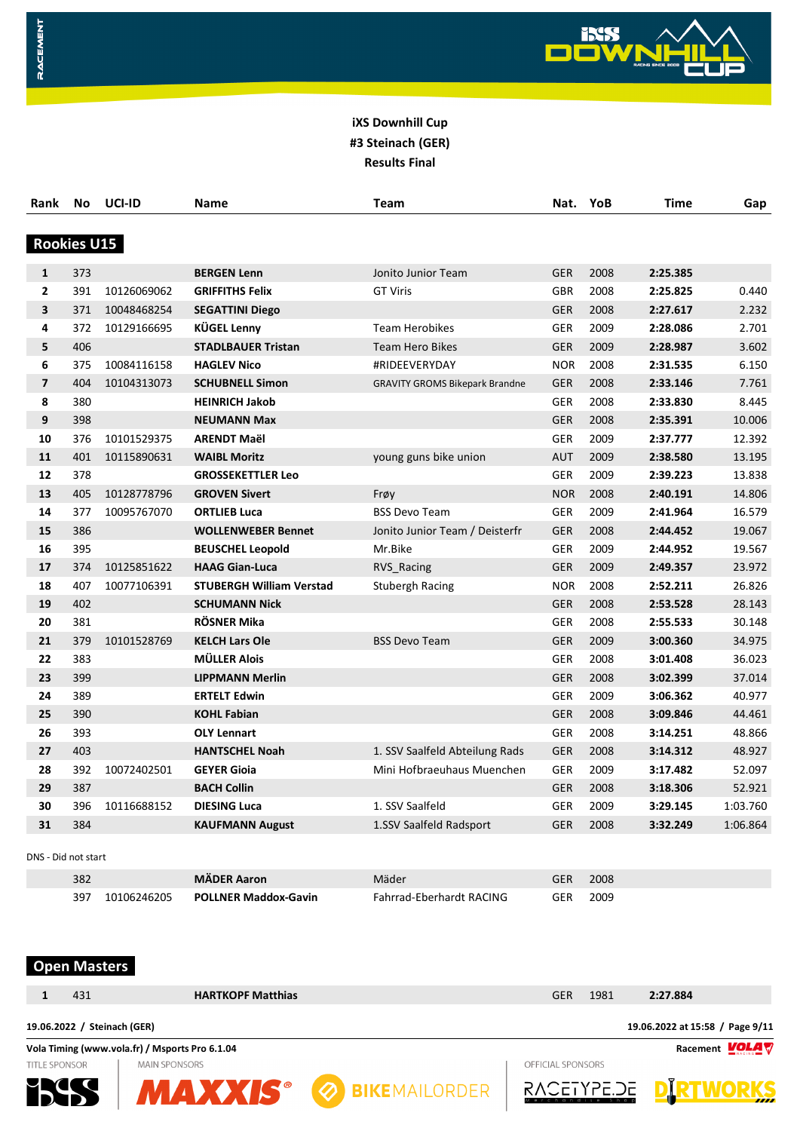

| Rank               | No  | UCI-ID      | Name                            | <b>Team</b>                           | Nat.       | YoB  | <b>Time</b> | Gap      |
|--------------------|-----|-------------|---------------------------------|---------------------------------------|------------|------|-------------|----------|
| <b>Rookies U15</b> |     |             |                                 |                                       |            |      |             |          |
| $\mathbf{1}$       | 373 |             | <b>BERGEN Lenn</b>              | Jonito Junior Team                    | <b>GER</b> | 2008 | 2:25.385    |          |
| $\overline{2}$     | 391 | 10126069062 | <b>GRIFFITHS Felix</b>          | <b>GT Viris</b>                       | <b>GBR</b> | 2008 | 2:25.825    | 0.440    |
| 3                  | 371 | 10048468254 | <b>SEGATTINI Diego</b>          |                                       | <b>GER</b> | 2008 | 2:27.617    | 2.232    |
| 4                  | 372 | 10129166695 | <b>KÜGEL Lenny</b>              | <b>Team Herobikes</b>                 | <b>GER</b> | 2009 | 2:28.086    | 2.701    |
| 5                  | 406 |             | <b>STADLBAUER Tristan</b>       | <b>Team Hero Bikes</b>                | <b>GER</b> | 2009 | 2:28.987    | 3.602    |
| 6                  | 375 | 10084116158 | <b>HAGLEV Nico</b>              | #RIDEEVERYDAY                         | <b>NOR</b> | 2008 | 2:31.535    | 6.150    |
| $\overline{7}$     | 404 | 10104313073 | <b>SCHUBNELL Simon</b>          | <b>GRAVITY GROMS Bikepark Brandne</b> | <b>GER</b> | 2008 | 2:33.146    | 7.761    |
| 8                  | 380 |             | <b>HEINRICH Jakob</b>           |                                       | <b>GER</b> | 2008 | 2:33.830    | 8.445    |
| 9                  | 398 |             | <b>NEUMANN Max</b>              |                                       | <b>GER</b> | 2008 | 2:35.391    | 10.006   |
| 10                 | 376 | 10101529375 | <b>ARENDT Maël</b>              |                                       | <b>GER</b> | 2009 | 2:37.777    | 12.392   |
| 11                 | 401 | 10115890631 | <b>WAIBL Moritz</b>             | young guns bike union                 | <b>AUT</b> | 2009 | 2:38.580    | 13.195   |
| 12                 | 378 |             | <b>GROSSEKETTLER Leo</b>        |                                       | <b>GER</b> | 2009 | 2:39.223    | 13.838   |
| 13                 | 405 | 10128778796 | <b>GROVEN Sivert</b>            | Frøy                                  | <b>NOR</b> | 2008 | 2:40.191    | 14.806   |
| 14                 | 377 | 10095767070 | <b>ORTLIEB Luca</b>             | <b>BSS Devo Team</b>                  | <b>GER</b> | 2009 | 2:41.964    | 16.579   |
| 15                 | 386 |             | <b>WOLLENWEBER Bennet</b>       | Jonito Junior Team / Deisterfr        | <b>GER</b> | 2008 | 2:44.452    | 19.067   |
| 16                 | 395 |             | <b>BEUSCHEL Leopold</b>         | Mr.Bike                               | <b>GER</b> | 2009 | 2:44.952    | 19.567   |
| 17                 | 374 | 10125851622 | <b>HAAG Gian-Luca</b>           | RVS Racing                            | <b>GER</b> | 2009 | 2:49.357    | 23.972   |
| 18                 | 407 | 10077106391 | <b>STUBERGH William Verstad</b> | <b>Stubergh Racing</b>                | <b>NOR</b> | 2008 | 2:52.211    | 26.826   |
| 19                 | 402 |             | <b>SCHUMANN Nick</b>            |                                       | <b>GER</b> | 2008 | 2:53.528    | 28.143   |
| 20                 | 381 |             | RÖSNER Mika                     |                                       | <b>GER</b> | 2008 | 2:55.533    | 30.148   |
| 21                 | 379 | 10101528769 | <b>KELCH Lars Ole</b>           | <b>BSS Devo Team</b>                  | <b>GER</b> | 2009 | 3:00.360    | 34.975   |
| 22                 | 383 |             | <b>MÜLLER Alois</b>             |                                       | <b>GER</b> | 2008 | 3:01.408    | 36.023   |
| 23                 | 399 |             | <b>LIPPMANN Merlin</b>          |                                       | <b>GER</b> | 2008 | 3:02.399    | 37.014   |
| 24                 | 389 |             | <b>ERTELT Edwin</b>             |                                       | <b>GER</b> | 2009 | 3:06.362    | 40.977   |
| 25                 | 390 |             | <b>KOHL Fabian</b>              |                                       | <b>GER</b> | 2008 | 3:09.846    | 44.461   |
| 26                 | 393 |             | <b>OLY Lennart</b>              |                                       | <b>GER</b> | 2008 | 3:14.251    | 48.866   |
| 27                 | 403 |             | <b>HANTSCHEL Noah</b>           | 1. SSV Saalfeld Abteilung Rads        | <b>GER</b> | 2008 | 3:14.312    | 48.927   |
| 28                 | 392 | 10072402501 | <b>GEYER Gioia</b>              | Mini Hofbraeuhaus Muenchen            | <b>GER</b> | 2009 | 3:17.482    | 52.097   |
| 29                 | 387 |             | <b>BACH Collin</b>              |                                       | <b>GER</b> | 2008 | 3:18.306    | 52.921   |
| 30                 | 396 | 10116688152 | <b>DIESING Luca</b>             | 1. SSV Saalfeld                       | <b>GER</b> | 2009 | 3:29.145    | 1:03.760 |
| 31                 | 384 |             | <b>KAUFMANN August</b>          | 1.SSV Saalfeld Radsport               | <b>GER</b> | 2008 | 3:32.249    | 1:06.864 |

| 382                | <b>MÄDER Aaron</b>          | Mäder                    | GER        | 2008 |
|--------------------|-----------------------------|--------------------------|------------|------|
| 397<br>10106246205 | <b>POLLNER Maddox-Gavin</b> | Fahrrad-Eberhardt RACING | <b>GER</b> | 2009 |

# **Open Masters**

| 431                         | <b>HARTKOPF Matthias</b>                       | 1981<br>2:27.884<br><b>GER</b>  |
|-----------------------------|------------------------------------------------|---------------------------------|
| 19.06.2022 / Steinach (GER) |                                                | 19.06.2022 at 15:58 / Page 9/11 |
|                             | Vola Timing (www.vola.fr) / Msports Pro 6.1.04 | Racement <b>VOLA</b>            |
| <b>TITLE SPONSOR</b>        | <b>MAIN SPONSORS</b>                           | OFFICIAL SPONSORS               |
| МL                          | <b>2</b> BIKEMAILORDER                         | RACETYPE.DE<br>,,,,             |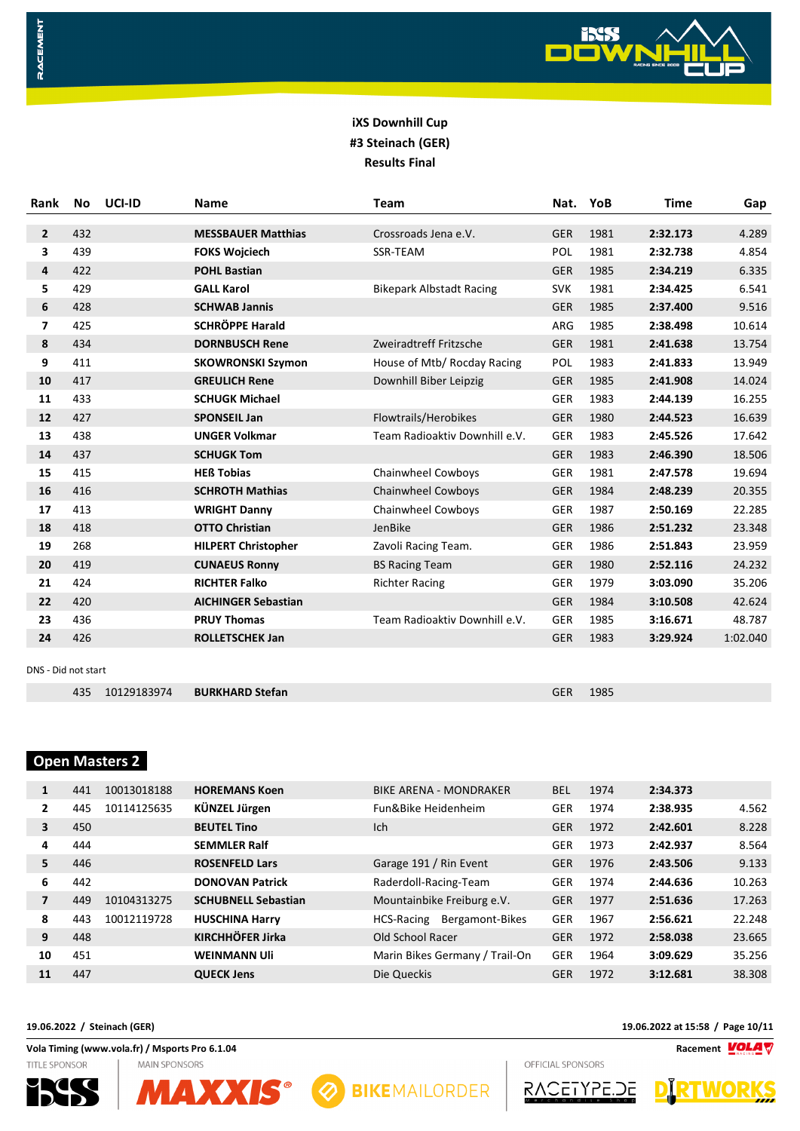

| Rank                | <b>No</b> | UCI-ID      | <b>Name</b>                | <b>Team</b>                     | Nat.       | YoB  | <b>Time</b> | Gap      |
|---------------------|-----------|-------------|----------------------------|---------------------------------|------------|------|-------------|----------|
|                     |           |             |                            |                                 |            |      |             |          |
| $\overline{2}$      | 432       |             | <b>MESSBAUER Matthias</b>  | Crossroads Jena e.V.            | <b>GER</b> | 1981 | 2:32.173    | 4.289    |
| 3                   | 439       |             | <b>FOKS Wojciech</b>       | <b>SSR-TEAM</b>                 | <b>POL</b> | 1981 | 2:32.738    | 4.854    |
| 4                   | 422       |             | <b>POHL Bastian</b>        |                                 | <b>GER</b> | 1985 | 2:34.219    | 6.335    |
| 5                   | 429       |             | <b>GALL Karol</b>          | <b>Bikepark Albstadt Racing</b> | <b>SVK</b> | 1981 | 2:34.425    | 6.541    |
| 6                   | 428       |             | <b>SCHWAB Jannis</b>       |                                 | <b>GER</b> | 1985 | 2:37.400    | 9.516    |
| 7                   | 425       |             | <b>SCHRÖPPE Harald</b>     |                                 | ARG        | 1985 | 2:38.498    | 10.614   |
| 8                   | 434       |             | <b>DORNBUSCH Rene</b>      | Zweiradtreff Fritzsche          | <b>GER</b> | 1981 | 2:41.638    | 13.754   |
| 9                   | 411       |             | <b>SKOWRONSKI Szymon</b>   | House of Mtb/ Rocday Racing     | POL        | 1983 | 2:41.833    | 13.949   |
| 10                  | 417       |             | <b>GREULICH Rene</b>       | Downhill Biber Leipzig          | <b>GER</b> | 1985 | 2:41.908    | 14.024   |
| 11                  | 433       |             | <b>SCHUGK Michael</b>      |                                 | <b>GER</b> | 1983 | 2:44.139    | 16.255   |
| 12                  | 427       |             | <b>SPONSEIL Jan</b>        | Flowtrails/Herobikes            | <b>GER</b> | 1980 | 2:44.523    | 16.639   |
| 13                  | 438       |             | <b>UNGER Volkmar</b>       | Team Radioaktiv Downhill e.V.   | <b>GER</b> | 1983 | 2:45.526    | 17.642   |
| 14                  | 437       |             | <b>SCHUGK Tom</b>          |                                 | <b>GER</b> | 1983 | 2:46.390    | 18.506   |
| 15                  | 415       |             | <b>HEß Tobias</b>          | Chainwheel Cowboys              | <b>GER</b> | 1981 | 2:47.578    | 19.694   |
| 16                  | 416       |             | <b>SCHROTH Mathias</b>     | Chainwheel Cowboys              | <b>GER</b> | 1984 | 2:48.239    | 20.355   |
| 17                  | 413       |             | <b>WRIGHT Danny</b>        | Chainwheel Cowboys              | <b>GER</b> | 1987 | 2:50.169    | 22.285   |
| 18                  | 418       |             | <b>OTTO Christian</b>      | JenBike                         | <b>GER</b> | 1986 | 2:51.232    | 23.348   |
| 19                  | 268       |             | <b>HILPERT Christopher</b> | Zavoli Racing Team.             | <b>GER</b> | 1986 | 2:51.843    | 23.959   |
| 20                  | 419       |             | <b>CUNAEUS Ronny</b>       | <b>BS Racing Team</b>           | <b>GER</b> | 1980 | 2:52.116    | 24.232   |
| 21                  | 424       |             | <b>RICHTER Falko</b>       | <b>Richter Racing</b>           | <b>GER</b> | 1979 | 3:03.090    | 35.206   |
| 22                  | 420       |             | <b>AICHINGER Sebastian</b> |                                 | <b>GER</b> | 1984 | 3:10.508    | 42.624   |
| 23                  | 436       |             | <b>PRUY Thomas</b>         | Team Radioaktiv Downhill e.V.   | <b>GER</b> | 1985 | 3:16.671    | 48.787   |
| 24                  | 426       |             | ROLLETSCHEK Jan            |                                 | <b>GER</b> | 1983 | 3:29.924    | 1:02.040 |
|                     |           |             |                            |                                 |            |      |             |          |
| DNS - Did not start |           |             |                            |                                 |            |      |             |          |
|                     | 435       | 10129183974 | <b>BURKHARD Stefan</b>     |                                 | <b>GER</b> | 1985 |             |          |

# **Open Masters 2**

RACEMENT

| 1                       | 441 | 10013018188 | <b>HOREMANS Koen</b>       | <b>BIKE ARENA - MONDRAKER</b>  | <b>BEL</b> | 1974 | 2:34.373 |        |
|-------------------------|-----|-------------|----------------------------|--------------------------------|------------|------|----------|--------|
| $\overline{2}$          | 445 | 10114125635 | KÜNZEL Jürgen              | Fun&Bike Heidenheim            | GER        | 1974 | 2:38.935 | 4.562  |
| $\overline{\mathbf{3}}$ | 450 |             | <b>BEUTEL Tino</b>         | Ich                            | <b>GER</b> | 1972 | 2:42.601 | 8.228  |
| 4                       | 444 |             | <b>SEMMLER Ralf</b>        |                                | <b>GER</b> | 1973 | 2:42.937 | 8.564  |
| 5                       | 446 |             | <b>ROSENFELD Lars</b>      | Garage 191 / Rin Event         | <b>GER</b> | 1976 | 2:43.506 | 9.133  |
| 6                       | 442 |             | <b>DONOVAN Patrick</b>     | Raderdoll-Racing-Team          | <b>GER</b> | 1974 | 2:44.636 | 10.263 |
| $\overline{7}$          | 449 | 10104313275 | <b>SCHUBNELL Sebastian</b> | Mountainbike Freiburg e.V.     | <b>GER</b> | 1977 | 2:51.636 | 17.263 |
| 8                       | 443 | 10012119728 | <b>HUSCHINA Harry</b>      | Bergamont-Bikes<br>HCS-Racing  | <b>GER</b> | 1967 | 2:56.621 | 22.248 |
| 9                       | 448 |             | <b>KIRCHHÖFER Jirka</b>    | Old School Racer               | <b>GER</b> | 1972 | 2:58.038 | 23.665 |
| 10                      | 451 |             | <b>WEINMANN UII</b>        | Marin Bikes Germany / Trail-On | <b>GER</b> | 1964 | 3:09.629 | 35.256 |
| 11                      | 447 |             | <b>OUECK Jens</b>          | Die Queckis                    | <b>GER</b> | 1972 | 3:12.681 | 38.308 |

**MAXXIS® @ BIKEMAILORDER** 

**Vola Timing (www.vola.fr) / Msports Pro 6.1.04 Racement VOLAT** TITLE SPONSOR **MAIN SPONSORS** 



**19.06.2022 / Steinach (GER) 19.06.2022 at 15:58 / Page 10/11**

OFFICIAL SPONSORS



**WUKKS**